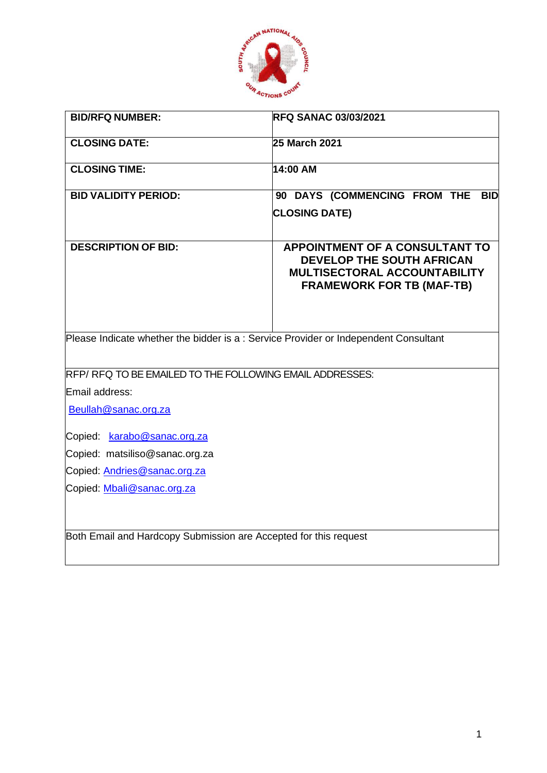

| <b>BID/RFQ NUMBER:</b>                                                              | <b>RFQ SANAC 03/03/2021</b>                                                                                                                   |
|-------------------------------------------------------------------------------------|-----------------------------------------------------------------------------------------------------------------------------------------------|
| <b>CLOSING DATE:</b>                                                                | 25 March 2021                                                                                                                                 |
| <b>CLOSING TIME:</b>                                                                | 14:00 AM                                                                                                                                      |
| <b>BID VALIDITY PERIOD:</b>                                                         | 90 DAYS (COMMENCING FROM THE BID                                                                                                              |
|                                                                                     | <b>CLOSING DATE)</b>                                                                                                                          |
| <b>DESCRIPTION OF BID:</b>                                                          | <b>APPOINTMENT OF A CONSULTANT TO</b><br><b>DEVELOP THE SOUTH AFRICAN</b><br>MULTISECTORAL ACCOUNTABILITY<br><b>FRAMEWORK FOR TB (MAF-TB)</b> |
| Please Indicate whether the bidder is a: Service Provider or Independent Consultant |                                                                                                                                               |
| RFP/RFQ TO BE EMAILED TO THE FOLLOWING EMAIL ADDRESSES:                             |                                                                                                                                               |
| Email address:                                                                      |                                                                                                                                               |
| Beullah@sanac.org.za                                                                |                                                                                                                                               |
| Copied: karabo@sanac.org.za                                                         |                                                                                                                                               |
| Copied: matsiliso@sanac.org.za                                                      |                                                                                                                                               |
| Copied: Andries@sanac.org.za                                                        |                                                                                                                                               |
| Copied: Mbali@sanac.org.za                                                          |                                                                                                                                               |
| Both Email and Hardcopy Submission are Accepted for this request                    |                                                                                                                                               |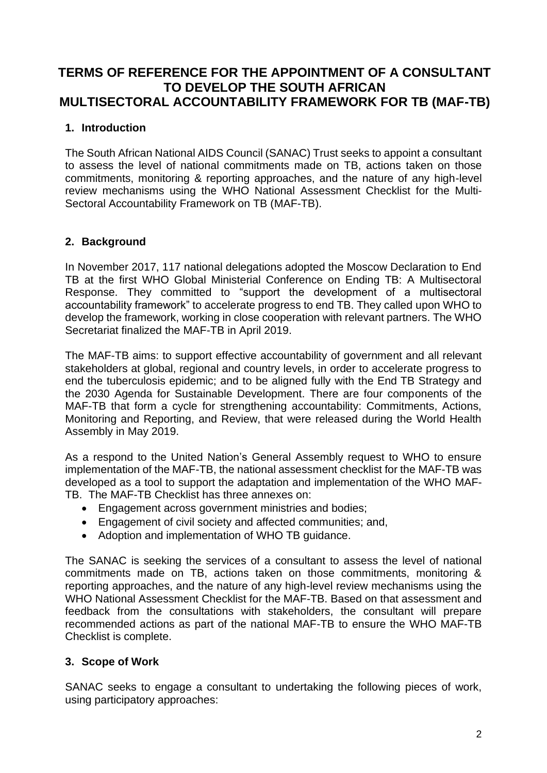# **TERMS OF REFERENCE FOR THE APPOINTMENT OF A CONSULTANT TO DEVELOP THE SOUTH AFRICAN MULTISECTORAL ACCOUNTABILITY FRAMEWORK FOR TB (MAF-TB)**

# **1. Introduction**

The South African National AIDS Council (SANAC) Trust seeks to appoint a consultant to assess the level of national commitments made on TB, actions taken on those commitments, monitoring & reporting approaches, and the nature of any high-level review mechanisms using the WHO National Assessment Checklist for the Multi-Sectoral Accountability Framework on TB (MAF-TB).

### **2. Background**

In November 2017, 117 national delegations adopted the Moscow Declaration to End TB at the first WHO Global Ministerial Conference on Ending TB: A Multisectoral Response. They committed to "support the development of a multisectoral accountability framework" to accelerate progress to end TB. They called upon WHO to develop the framework, working in close cooperation with relevant partners. The WHO Secretariat finalized the MAF-TB in April 2019.

The MAF-TB aims: to support effective accountability of government and all relevant stakeholders at global, regional and country levels, in order to accelerate progress to end the tuberculosis epidemic; and to be aligned fully with the End TB Strategy and the 2030 Agenda for Sustainable Development. There are four components of the MAF-TB that form a cycle for strengthening accountability: Commitments, Actions, Monitoring and Reporting, and Review, that were released during the World Health Assembly in May 2019.

As a respond to the United Nation's General Assembly request to WHO to ensure implementation of the MAF-TB, the national assessment checklist for the MAF-TB was developed as a tool to support the adaptation and implementation of the WHO MAF-TB. The MAF-TB Checklist has three annexes on:

- Engagement across government ministries and bodies;
- Engagement of civil society and affected communities; and,
- Adoption and implementation of WHO TB guidance.

The SANAC is seeking the services of a consultant to assess the level of national commitments made on TB, actions taken on those commitments, monitoring & reporting approaches, and the nature of any high-level review mechanisms using the WHO National Assessment Checklist for the MAF-TB. Based on that assessment and feedback from the consultations with stakeholders, the consultant will prepare recommended actions as part of the national MAF-TB to ensure the WHO MAF-TB Checklist is complete.

#### **3. Scope of Work**

SANAC seeks to engage a consultant to undertaking the following pieces of work, using participatory approaches: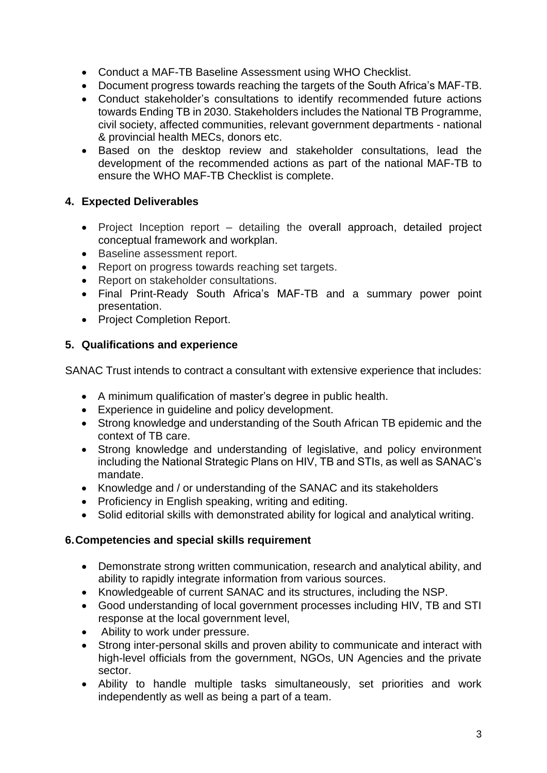- Conduct a MAF-TB Baseline Assessment using WHO Checklist.
- Document progress towards reaching the targets of the South Africa's MAF-TB.
- Conduct stakeholder's consultations to identify recommended future actions towards Ending TB in 2030. Stakeholders includes the National TB Programme, civil society, affected communities, relevant government departments - national & provincial health MECs, donors etc.
- Based on the desktop review and stakeholder consultations, lead the development of the recommended actions as part of the national MAF-TB to ensure the WHO MAF-TB Checklist is complete.

# **4. Expected Deliverables**

- Project Inception report detailing the overall approach, detailed project conceptual framework and workplan.
- Baseline assessment report.
- Report on progress towards reaching set targets.
- Report on stakeholder consultations.
- Final Print-Ready South Africa's MAF-TB and a summary power point presentation.
- Project Completion Report.

### **5. Qualifications and experience**

SANAC Trust intends to contract a consultant with extensive experience that includes:

- A minimum qualification of master's degree in public health.
- Experience in guideline and policy development.
- Strong knowledge and understanding of the South African TB epidemic and the context of TB care.
- Strong knowledge and understanding of legislative, and policy environment including the National Strategic Plans on HIV, TB and STIs, as well as SANAC's mandate.
- Knowledge and / or understanding of the SANAC and its stakeholders
- Proficiency in English speaking, writing and editing.
- Solid editorial skills with demonstrated ability for logical and analytical writing.

#### **6.Competencies and special skills requirement**

- Demonstrate strong written communication, research and analytical ability, and ability to rapidly integrate information from various sources.
- Knowledgeable of current SANAC and its structures, including the NSP.
- Good understanding of local government processes including HIV, TB and STI response at the local government level,
- Ability to work under pressure.
- Strong inter-personal skills and proven ability to communicate and interact with high-level officials from the government, NGOs, UN Agencies and the private sector.
- Ability to handle multiple tasks simultaneously, set priorities and work independently as well as being a part of a team.